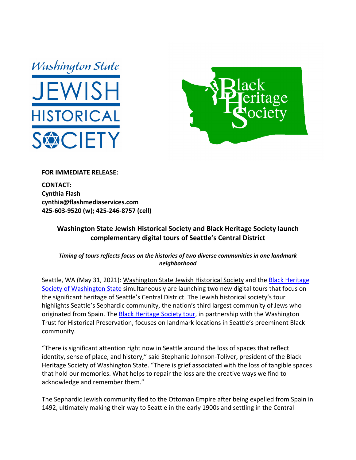



## **FOR IMMEDIATE RELEASE:**

**CONTACT: Cynthia Flash cynthia@flashmediaservices.com 425‐603‐9520 (w); 425‐246‐8757 (cell)**

## **Washington State Jewish Historical Society and Black Heritage Society launch complementary digital tours of Seattle's Central District**

*Timing of tours reflects focus on the histories of two diverse communities in one landmark neighborhood*

Seattle, WA (May 31, 2021): Washington State Jewish Historical Society and the Black Heritage Society of Washington State simultaneously are launching two new digital tours that focus on the significant heritage of Seattle's Central District. The Jewish historical society's tour highlights Seattle's Sephardic community, the nation's third largest community of Jews who originated from Spain. The Black Heritage Society tour, in partnership with the Washington Trust for Historical Preservation, focuses on landmark locations in Seattle's preeminent Black community.

"There is significant attention right now in Seattle around the loss of spaces that reflect identity, sense of place, and history," said Stephanie Johnson‐Toliver, president of the Black Heritage Society of Washington State. "There is grief associated with the loss of tangible spaces that hold our memories. What helps to repair the loss are the creative ways we find to acknowledge and remember them."

The Sephardic Jewish community fled to the Ottoman Empire after being expelled from Spain in 1492, ultimately making their way to Seattle in the early 1900s and settling in the Central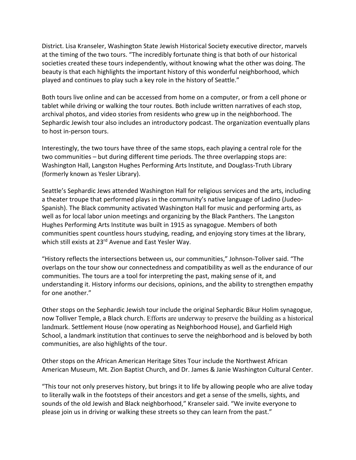District. Lisa Kranseler, Washington State Jewish Historical Society executive director, marvels at the timing of the two tours. "The incredibly fortunate thing is that both of our historical societies created these tours independently, without knowing what the other was doing. The beauty is that each highlights the important history of this wonderful neighborhood, which played and continues to play such a key role in the history of Seattle."

Both tours live online and can be accessed from home on a computer, or from a cell phone or tablet while driving or walking the tour routes. Both include written narratives of each stop, archival photos, and video stories from residents who grew up in the neighborhood. The Sephardic Jewish tour also includes an introductory podcast. The organization eventually plans to host in‐person tours.

Interestingly, the two tours have three of the same stops, each playing a central role for the two communities – but during different time periods. The three overlapping stops are: Washington Hall, Langston Hughes Performing Arts Institute, and Douglass‐Truth Library (formerly known as Yesler Library).

Seattle's Sephardic Jews attended Washington Hall for religious services and the arts, including a theater troupe that performed plays in the community's native language of Ladino (Judeo‐ Spanish). The Black community activated Washington Hall for music and performing arts, as well as for local labor union meetings and organizing by the Black Panthers. The Langston Hughes Performing Arts Institute was built in 1915 as synagogue. Members of both communities spent countless hours studying, reading, and enjoying story times at the library, which still exists at 23<sup>rd</sup> Avenue and East Yesler Way.

"History reflects the intersections between us, our communities," Johnson‐Toliver said. "The overlaps on the tour show our connectedness and compatibility as well as the endurance of our communities. The tours are a tool for interpreting the past, making sense of it, and understanding it. History informs our decisions, opinions, and the ability to strengthen empathy for one another."

Other stops on the Sephardic Jewish tour include the original Sephardic Bikur Holim synagogue, now Tolliver Temple, a Black church. Efforts are underway to preserve the building as a historical landmark. Settlement House (now operating as Neighborhood House), and Garfield High School, a landmark institution that continues to serve the neighborhood and is beloved by both communities, are also highlights of the tour.

Other stops on the African American Heritage Sites Tour include the Northwest African American Museum, Mt. Zion Baptist Church, and Dr. James & Janie Washington Cultural Center.

"This tour not only preserves history, but brings it to life by allowing people who are alive today to literally walk in the footsteps of their ancestors and get a sense of the smells, sights, and sounds of the old Jewish and Black neighborhood," Kranseler said. "We invite everyone to please join us in driving or walking these streets so they can learn from the past."